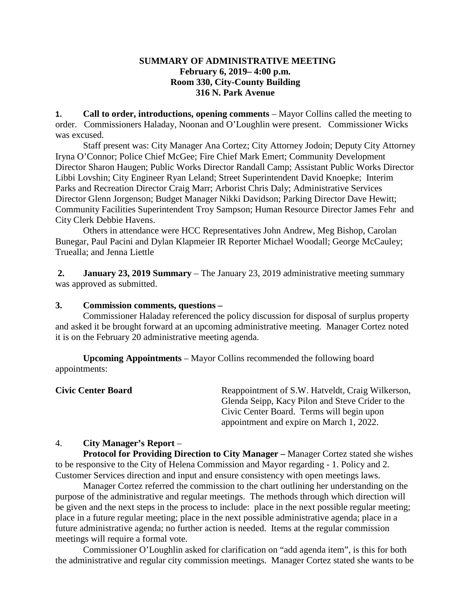### **SUMMARY OF ADMINISTRATIVE MEETING February 6, 2019– 4:00 p.m. Room 330, City-County Building 316 N. Park Avenue**

**1. Call to order, introductions, opening comments** – Mayor Collins called the meeting to order. Commissioners Haladay, Noonan and O'Loughlin were present. Commissioner Wicks was excused.

Staff present was: City Manager Ana Cortez; City Attorney Jodoin; Deputy City Attorney Iryna O'Connor; Police Chief McGee; Fire Chief Mark Emert; Community Development Director Sharon Haugen; Public Works Director Randall Camp; Assistant Public Works Director Libbi Lovshin; City Engineer Ryan Leland; Street Superintendent David Knoepke; Interim Parks and Recreation Director Craig Marr; Arborist Chris Daly; Administrative Services Director Glenn Jorgenson; Budget Manager Nikki Davidson; Parking Director Dave Hewitt; Community Facilities Superintendent Troy Sampson; Human Resource Director James Fehr and City Clerk Debbie Havens.

Others in attendance were HCC Representatives John Andrew, Meg Bishop, Carolan Bunegar, Paul Pacini and Dylan Klapmeier IR Reporter Michael Woodall; George McCauley; Truealla; and Jenna Liettle

**2. January 23, 2019 Summary** – The January 23, 2019 administrative meeting summary was approved as submitted.

#### **3. Commission comments, questions –**

Commissioner Haladay referenced the policy discussion for disposal of surplus property and asked it be brought forward at an upcoming administrative meeting. Manager Cortez noted it is on the February 20 administrative meeting agenda.

**Upcoming Appointments** – Mayor Collins recommended the following board appointments:

**Civic Center Board** Reappointment of S.W. Hatveldt, Craig Wilkerson, Glenda Seipp, Kacy Pilon and Steve Crider to the Civic Center Board. Terms will begin upon appointment and expire on March 1, 2022.

#### 4. **City Manager's Report** –

**Protocol for Providing Direction to City Manager –** Manager Cortez stated she wishes to be responsive to the City of Helena Commission and Mayor regarding - 1. Policy and 2. Customer Services direction and input and ensure consistency with open meetings laws.

Manager Cortez referred the commission to the chart outlining her understanding on the purpose of the administrative and regular meetings. The methods through which direction will be given and the next steps in the process to include: place in the next possible regular meeting; place in a future regular meeting; place in the next possible administrative agenda; place in a future administrative agenda; no further action is needed. Items at the regular commission meetings will require a formal vote.

Commissioner O'Loughlin asked for clarification on "add agenda item", is this for both the administrative and regular city commission meetings. Manager Cortez stated she wants to be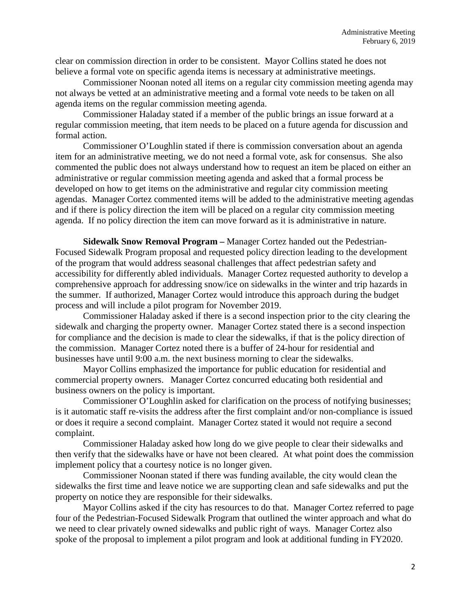clear on commission direction in order to be consistent. Mayor Collins stated he does not believe a formal vote on specific agenda items is necessary at administrative meetings.

Commissioner Noonan noted all items on a regular city commission meeting agenda may not always be vetted at an administrative meeting and a formal vote needs to be taken on all agenda items on the regular commission meeting agenda.

Commissioner Haladay stated if a member of the public brings an issue forward at a regular commission meeting, that item needs to be placed on a future agenda for discussion and formal action.

Commissioner O'Loughlin stated if there is commission conversation about an agenda item for an administrative meeting, we do not need a formal vote, ask for consensus. She also commented the public does not always understand how to request an item be placed on either an administrative or regular commission meeting agenda and asked that a formal process be developed on how to get items on the administrative and regular city commission meeting agendas. Manager Cortez commented items will be added to the administrative meeting agendas and if there is policy direction the item will be placed on a regular city commission meeting agenda. If no policy direction the item can move forward as it is administrative in nature.

**Sidewalk Snow Removal Program –** Manager Cortez handed out the Pedestrian-Focused Sidewalk Program proposal and requested policy direction leading to the development of the program that would address seasonal challenges that affect pedestrian safety and accessibility for differently abled individuals. Manager Cortez requested authority to develop a comprehensive approach for addressing snow/ice on sidewalks in the winter and trip hazards in the summer. If authorized, Manager Cortez would introduce this approach during the budget process and will include a pilot program for November 2019.

Commissioner Haladay asked if there is a second inspection prior to the city clearing the sidewalk and charging the property owner. Manager Cortez stated there is a second inspection for compliance and the decision is made to clear the sidewalks, if that is the policy direction of the commission. Manager Cortez noted there is a buffer of 24-hour for residential and businesses have until 9:00 a.m. the next business morning to clear the sidewalks.

Mayor Collins emphasized the importance for public education for residential and commercial property owners. Manager Cortez concurred educating both residential and business owners on the policy is important.

Commissioner O'Loughlin asked for clarification on the process of notifying businesses; is it automatic staff re-visits the address after the first complaint and/or non-compliance is issued or does it require a second complaint. Manager Cortez stated it would not require a second complaint.

Commissioner Haladay asked how long do we give people to clear their sidewalks and then verify that the sidewalks have or have not been cleared. At what point does the commission implement policy that a courtesy notice is no longer given.

Commissioner Noonan stated if there was funding available, the city would clean the sidewalks the first time and leave notice we are supporting clean and safe sidewalks and put the property on notice they are responsible for their sidewalks.

Mayor Collins asked if the city has resources to do that. Manager Cortez referred to page four of the Pedestrian-Focused Sidewalk Program that outlined the winter approach and what do we need to clear privately owned sidewalks and public right of ways. Manager Cortez also spoke of the proposal to implement a pilot program and look at additional funding in FY2020.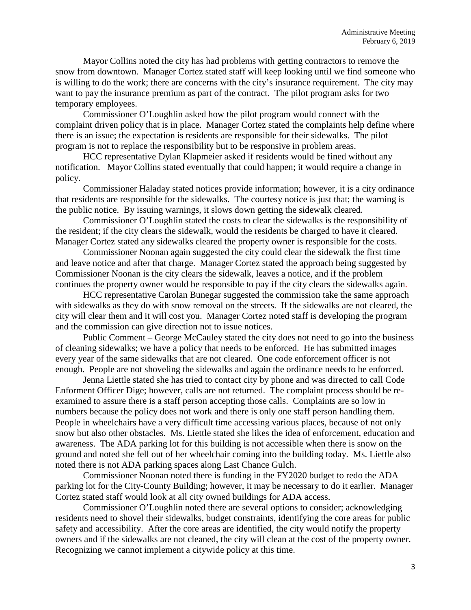Mayor Collins noted the city has had problems with getting contractors to remove the snow from downtown. Manager Cortez stated staff will keep looking until we find someone who is willing to do the work; there are concerns with the city's insurance requirement. The city may want to pay the insurance premium as part of the contract. The pilot program asks for two temporary employees.

Commissioner O'Loughlin asked how the pilot program would connect with the complaint driven policy that is in place. Manager Cortez stated the complaints help define where there is an issue; the expectation is residents are responsible for their sidewalks. The pilot program is not to replace the responsibility but to be responsive in problem areas.

HCC representative Dylan Klapmeier asked if residents would be fined without any notification. Mayor Collins stated eventually that could happen; it would require a change in policy.

Commissioner Haladay stated notices provide information; however, it is a city ordinance that residents are responsible for the sidewalks. The courtesy notice is just that; the warning is the public notice. By issuing warnings, it slows down getting the sidewalk cleared.

Commissioner O'Loughlin stated the costs to clear the sidewalks is the responsibility of the resident; if the city clears the sidewalk, would the residents be charged to have it cleared. Manager Cortez stated any sidewalks cleared the property owner is responsible for the costs.

Commissioner Noonan again suggested the city could clear the sidewalk the first time and leave notice and after that charge. Manager Cortez stated the approach being suggested by Commissioner Noonan is the city clears the sidewalk, leaves a notice, and if the problem continues the property owner would be responsible to pay if the city clears the sidewalks again.

HCC representative Carolan Bunegar suggested the commission take the same approach with sidewalks as they do with snow removal on the streets. If the sidewalks are not cleared, the city will clear them and it will cost you. Manager Cortez noted staff is developing the program and the commission can give direction not to issue notices.

Public Comment – George McCauley stated the city does not need to go into the business of cleaning sidewalks; we have a policy that needs to be enforced. He has submitted images every year of the same sidewalks that are not cleared. One code enforcement officer is not enough. People are not shoveling the sidewalks and again the ordinance needs to be enforced.

Jenna Liettle stated she has tried to contact city by phone and was directed to call Code Enforment Officer Dige; however, calls are not returned. The complaint process should be reexamined to assure there is a staff person accepting those calls. Complaints are so low in numbers because the policy does not work and there is only one staff person handling them. People in wheelchairs have a very difficult time accessing various places, because of not only snow but also other obstacles. Ms. Liettle stated she likes the idea of enforcement, education and awareness. The ADA parking lot for this building is not accessible when there is snow on the ground and noted she fell out of her wheelchair coming into the building today. Ms. Liettle also noted there is not ADA parking spaces along Last Chance Gulch.

Commissioner Noonan noted there is funding in the FY2020 budget to redo the ADA parking lot for the City-County Building; however, it may be necessary to do it earlier. Manager Cortez stated staff would look at all city owned buildings for ADA access.

Commissioner O'Loughlin noted there are several options to consider; acknowledging residents need to shovel their sidewalks, budget constraints, identifying the core areas for public safety and accessibility. After the core areas are identified, the city would notify the property owners and if the sidewalks are not cleaned, the city will clean at the cost of the property owner. Recognizing we cannot implement a citywide policy at this time.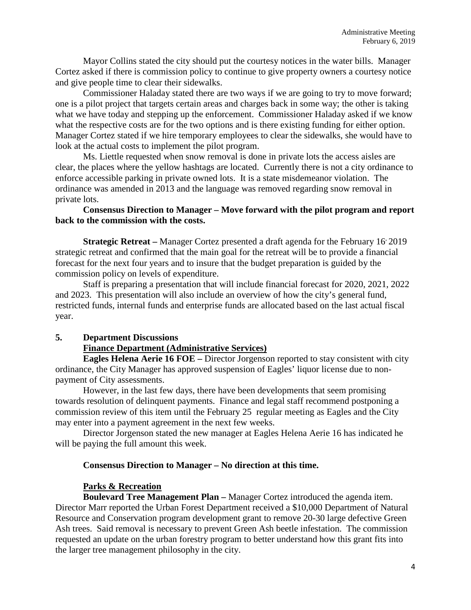Mayor Collins stated the city should put the courtesy notices in the water bills. Manager Cortez asked if there is commission policy to continue to give property owners a courtesy notice and give people time to clear their sidewalks.

Commissioner Haladay stated there are two ways if we are going to try to move forward; one is a pilot project that targets certain areas and charges back in some way; the other is taking what we have today and stepping up the enforcement. Commissioner Haladay asked if we know what the respective costs are for the two options and is there existing funding for either option. Manager Cortez stated if we hire temporary employees to clear the sidewalks, she would have to look at the actual costs to implement the pilot program.

Ms. Liettle requested when snow removal is done in private lots the access aisles are clear, the places where the yellow hashtags are located. Currently there is not a city ordinance to enforce accessible parking in private owned lots. It is a state misdemeanor violation. The ordinance was amended in 2013 and the language was removed regarding snow removal in private lots.

### **Consensus Direction to Manager – Move forward with the pilot program and report back to the commission with the costs.**

**Strategic Retreat** – Manager Cortez presented a draft agenda for the February 16<sup>-</sup>2019 strategic retreat and confirmed that the main goal for the retreat will be to provide a financial forecast for the next four years and to insure that the budget preparation is guided by the commission policy on levels of expenditure.

Staff is preparing a presentation that will include financial forecast for 2020, 2021, 2022 and 2023. This presentation will also include an overview of how the city's general fund, restricted funds, internal funds and enterprise funds are allocated based on the last actual fiscal year.

# **5. Department Discussions**

# **Finance Department (Administrative Services)**

**Eagles Helena Aerie 16 FOE –** Director Jorgenson reported to stay consistent with city ordinance, the City Manager has approved suspension of Eagles' liquor license due to nonpayment of City assessments.

However, in the last few days, there have been developments that seem promising towards resolution of delinquent payments. Finance and legal staff recommend postponing a commission review of this item until the February 25 regular meeting as Eagles and the City may enter into a payment agreement in the next few weeks.

Director Jorgenson stated the new manager at Eagles Helena Aerie 16 has indicated he will be paying the full amount this week.

#### **Consensus Direction to Manager – No direction at this time.**

# **Parks & Recreation**

**Boulevard Tree Management Plan –** Manager Cortez introduced the agenda item. Director Marr reported the Urban Forest Department received a \$10,000 Department of Natural Resource and Conservation program development grant to remove 20-30 large defective Green Ash trees. Said removal is necessary to prevent Green Ash beetle infestation. The commission requested an update on the urban forestry program to better understand how this grant fits into the larger tree management philosophy in the city.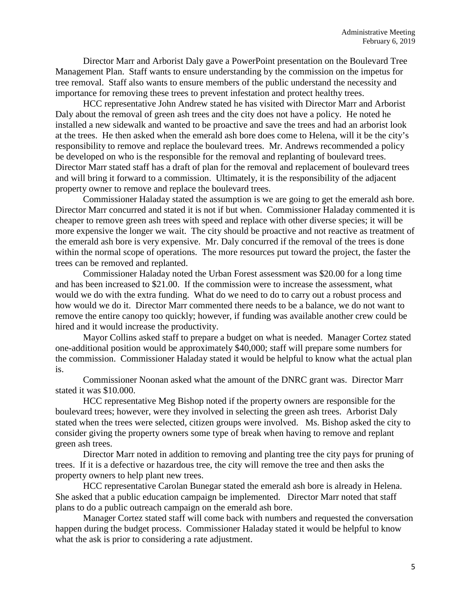Director Marr and Arborist Daly gave a PowerPoint presentation on the Boulevard Tree Management Plan. Staff wants to ensure understanding by the commission on the impetus for tree removal. Staff also wants to ensure members of the public understand the necessity and importance for removing these trees to prevent infestation and protect healthy trees.

HCC representative John Andrew stated he has visited with Director Marr and Arborist Daly about the removal of green ash trees and the city does not have a policy. He noted he installed a new sidewalk and wanted to be proactive and save the trees and had an arborist look at the trees. He then asked when the emerald ash bore does come to Helena, will it be the city's responsibility to remove and replace the boulevard trees. Mr. Andrews recommended a policy be developed on who is the responsible for the removal and replanting of boulevard trees. Director Marr stated staff has a draft of plan for the removal and replacement of boulevard trees and will bring it forward to a commission. Ultimately, it is the responsibility of the adjacent property owner to remove and replace the boulevard trees.

Commissioner Haladay stated the assumption is we are going to get the emerald ash bore. Director Marr concurred and stated it is not if but when. Commissioner Haladay commented it is cheaper to remove green ash trees with speed and replace with other diverse species; it will be more expensive the longer we wait. The city should be proactive and not reactive as treatment of the emerald ash bore is very expensive. Mr. Daly concurred if the removal of the trees is done within the normal scope of operations. The more resources put toward the project, the faster the trees can be removed and replanted.

Commissioner Haladay noted the Urban Forest assessment was \$20.00 for a long time and has been increased to \$21.00. If the commission were to increase the assessment, what would we do with the extra funding. What do we need to do to carry out a robust process and how would we do it. Director Marr commented there needs to be a balance, we do not want to remove the entire canopy too quickly; however, if funding was available another crew could be hired and it would increase the productivity.

Mayor Collins asked staff to prepare a budget on what is needed. Manager Cortez stated one-additional position would be approximately \$40,000; staff will prepare some numbers for the commission. Commissioner Haladay stated it would be helpful to know what the actual plan is.

Commissioner Noonan asked what the amount of the DNRC grant was. Director Marr stated it was \$10.000.

HCC representative Meg Bishop noted if the property owners are responsible for the boulevard trees; however, were they involved in selecting the green ash trees. Arborist Daly stated when the trees were selected, citizen groups were involved. Ms. Bishop asked the city to consider giving the property owners some type of break when having to remove and replant green ash trees.

Director Marr noted in addition to removing and planting tree the city pays for pruning of trees. If it is a defective or hazardous tree, the city will remove the tree and then asks the property owners to help plant new trees.

HCC representative Carolan Bunegar stated the emerald ash bore is already in Helena. She asked that a public education campaign be implemented. Director Marr noted that staff plans to do a public outreach campaign on the emerald ash bore.

Manager Cortez stated staff will come back with numbers and requested the conversation happen during the budget process. Commissioner Haladay stated it would be helpful to know what the ask is prior to considering a rate adjustment.